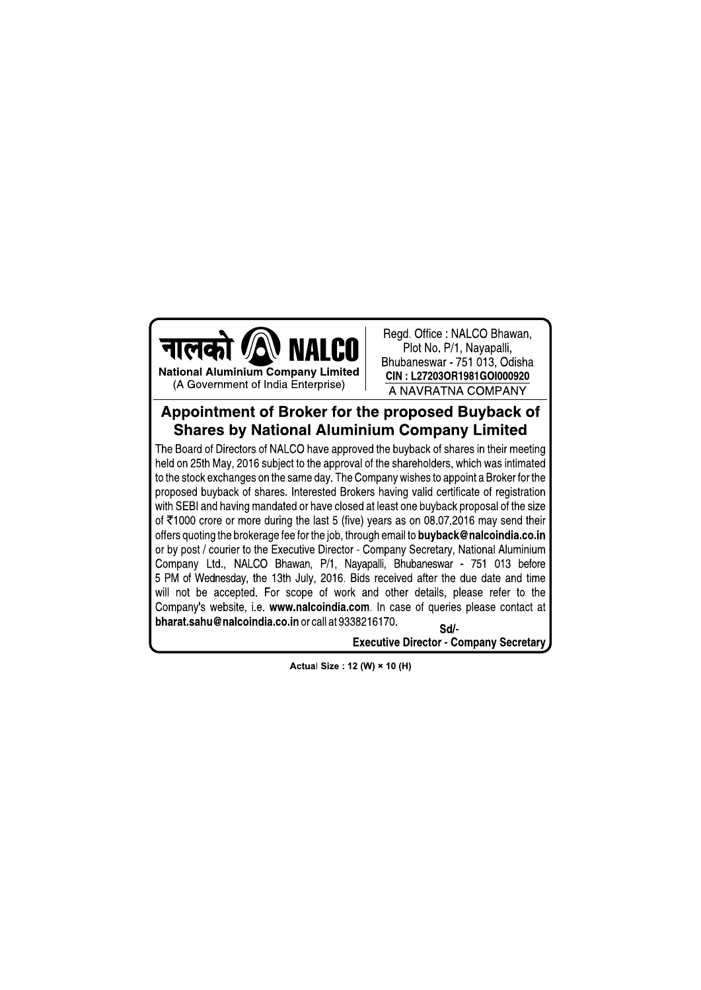

Read, Office: NALCO Bhawan, Plot No. P/1, Nayapalli, Bhubaneswar - 751 013, Odisha CIN: L27203OR1981GOI000920 A NAVRATNA COMPANY

## Appointment of Broker for the proposed Buyback of **Shares by National Aluminium Company Limited**

The Board of Directors of NALCO have approved the buyback of shares in their meeting held on 25th May, 2016 subject to the approval of the shareholders, which was intimated to the stock exchanges on the same day. The Company wishes to appoint a Broker for the proposed buyback of shares. Interested Brokers having valid certificate of registration with SEBI and having mandated or have closed at least one buyback proposal of the size of ₹1000 crore or more during the last 5 (five) years as on 08.07.2016 may send their offers quoting the brokerage fee for the job, through email to **buyback@nalcoindia.co.in** or by post / courier to the Executive Director - Company Secretary, National Aluminium Company Ltd., NALCO Bhawan, P/1, Nayapalli, Bhubaneswar - 751 013 before 5 PM of Wednesday, the 13th July, 2016. Bids received after the due date and time will not be accepted. For scope of work and other details, please refer to the Company's website, i.e. www.nalcoindia.com. In case of queries please contact at bharat.sahu@nalcoindia.co.in or call at 9338216170. Sd/

**Executive Director - Company Secretary** 

Actual Size: 12 (W) × 10 (H)